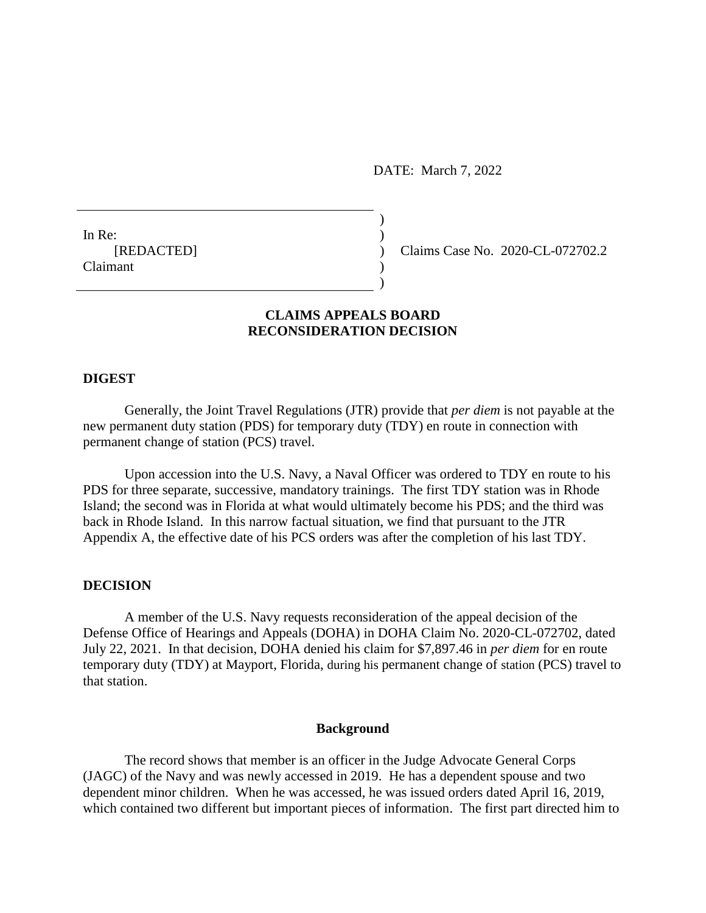DATE: March 7, 2022

In Re:  $\qquad \qquad$ ) Claimant )

[REDACTED] ) Claims Case No. 2020-CL-072702.2

# **CLAIMS APPEALS BOARD RECONSIDERATION DECISION**

)

)

#### **DIGEST**

Generally, the Joint Travel Regulations (JTR) provide that *per diem* is not payable at the new permanent duty station (PDS) for temporary duty (TDY) en route in connection with permanent change of station (PCS) travel.

Upon accession into the U.S. Navy, a Naval Officer was ordered to TDY en route to his PDS for three separate, successive, mandatory trainings. The first TDY station was in Rhode Island; the second was in Florida at what would ultimately become his PDS; and the third was back in Rhode Island. In this narrow factual situation, we find that pursuant to the JTR Appendix A, the effective date of his PCS orders was after the completion of his last TDY.

## **DECISION**

A member of the U.S. Navy requests reconsideration of the appeal decision of the Defense Office of Hearings and Appeals (DOHA) in DOHA Claim No. 2020-CL-072702, dated July 22, 2021. In that decision, DOHA denied his claim for \$7,897.46 in *per diem* for en route temporary duty (TDY) at Mayport, Florida, during his permanent change of station (PCS) travel to that station.

### **Background**

The record shows that member is an officer in the Judge Advocate General Corps (JAGC) of the Navy and was newly accessed in 2019. He has a dependent spouse and two dependent minor children. When he was accessed, he was issued orders dated April 16, 2019, which contained two different but important pieces of information. The first part directed him to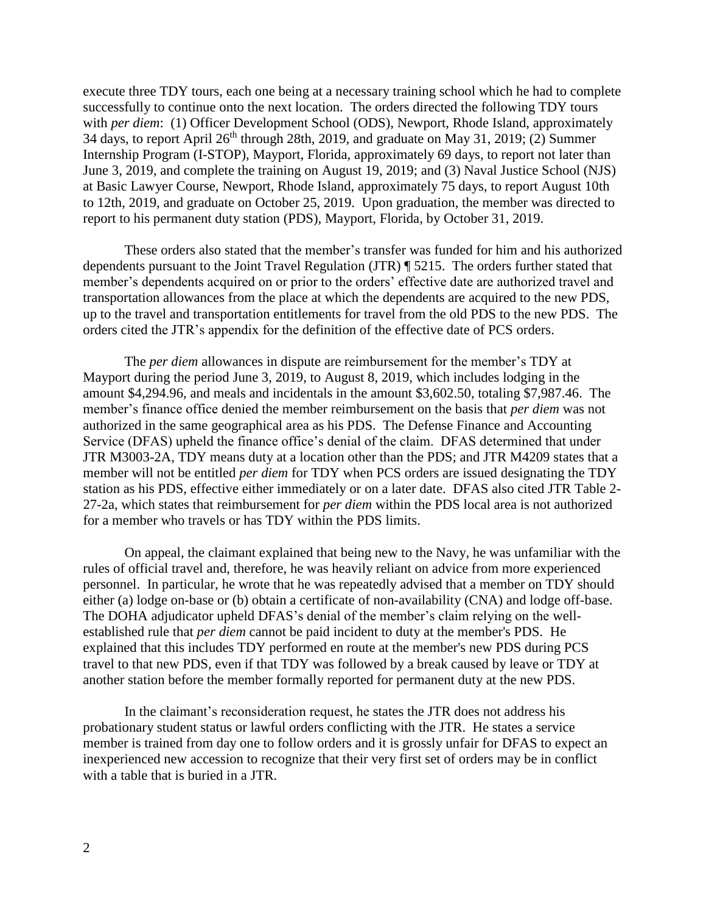execute three TDY tours, each one being at a necessary training school which he had to complete successfully to continue onto the next location. The orders directed the following TDY tours with *per diem*: (1) Officer Development School (ODS), Newport, Rhode Island, approximately 34 days, to report April  $26<sup>th</sup>$  through 28th, 2019, and graduate on May 31, 2019; (2) Summer Internship Program (I-STOP), Mayport, Florida, approximately 69 days, to report not later than June 3, 2019, and complete the training on August 19, 2019; and (3) Naval Justice School (NJS) at Basic Lawyer Course, Newport, Rhode Island, approximately 75 days, to report August 10th to 12th, 2019, and graduate on October 25, 2019. Upon graduation, the member was directed to report to his permanent duty station (PDS), Mayport, Florida, by October 31, 2019.

These orders also stated that the member's transfer was funded for him and his authorized dependents pursuant to the Joint Travel Regulation (JTR) ¶ 5215. The orders further stated that member's dependents acquired on or prior to the orders' effective date are authorized travel and transportation allowances from the place at which the dependents are acquired to the new PDS, up to the travel and transportation entitlements for travel from the old PDS to the new PDS. The orders cited the JTR's appendix for the definition of the effective date of PCS orders.

The *per diem* allowances in dispute are reimbursement for the member's TDY at Mayport during the period June 3, 2019, to August 8, 2019, which includes lodging in the amount \$4,294.96, and meals and incidentals in the amount \$3,602.50, totaling \$7,987.46. The member's finance office denied the member reimbursement on the basis that *per diem* was not authorized in the same geographical area as his PDS. The Defense Finance and Accounting Service (DFAS) upheld the finance office's denial of the claim. DFAS determined that under JTR M3003-2A, TDY means duty at a location other than the PDS; and JTR M4209 states that a member will not be entitled *per diem* for TDY when PCS orders are issued designating the TDY station as his PDS, effective either immediately or on a later date. DFAS also cited JTR Table 2- 27-2a, which states that reimbursement for *per diem* within the PDS local area is not authorized for a member who travels or has TDY within the PDS limits.

On appeal, the claimant explained that being new to the Navy, he was unfamiliar with the rules of official travel and, therefore, he was heavily reliant on advice from more experienced personnel. In particular, he wrote that he was repeatedly advised that a member on TDY should either (a) lodge on-base or (b) obtain a certificate of non-availability (CNA) and lodge off-base. The DOHA adjudicator upheld DFAS's denial of the member's claim relying on the wellestablished rule that *per diem* cannot be paid incident to duty at the member's PDS. He explained that this includes TDY performed en route at the member's new PDS during PCS travel to that new PDS, even if that TDY was followed by a break caused by leave or TDY at another station before the member formally reported for permanent duty at the new PDS.

In the claimant's reconsideration request, he states the JTR does not address his probationary student status or lawful orders conflicting with the JTR. He states a service member is trained from day one to follow orders and it is grossly unfair for DFAS to expect an inexperienced new accession to recognize that their very first set of orders may be in conflict with a table that is buried in a JTR.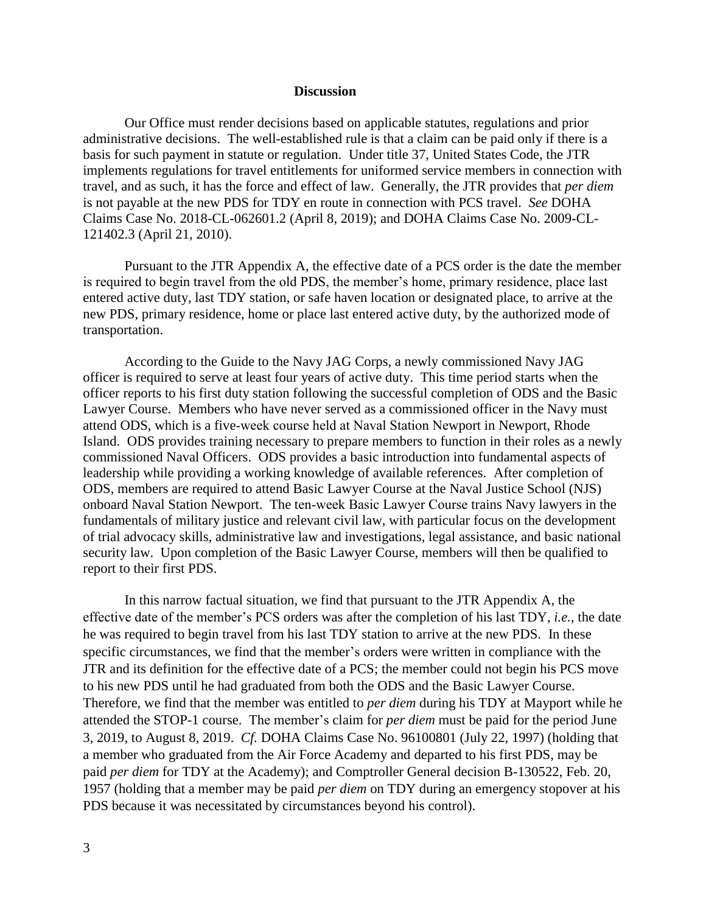### **Discussion**

Our Office must render decisions based on applicable statutes, regulations and prior administrative decisions. The well-established rule is that a claim can be paid only if there is a basis for such payment in statute or regulation. Under title 37, United States Code, the JTR implements regulations for travel entitlements for uniformed service members in connection with travel, and as such, it has the force and effect of law. Generally, the JTR provides that *per diem*  is not payable at the new PDS for TDY en route in connection with PCS travel. *See* DOHA Claims Case No. 2018-CL-062601.2 (April 8, 2019); and DOHA Claims Case No. 2009-CL-121402.3 (April 21, 2010).

Pursuant to the JTR Appendix A, the effective date of a PCS order is the date the member is required to begin travel from the old PDS, the member's home, primary residence, place last entered active duty, last TDY station, or safe haven location or designated place, to arrive at the new PDS, primary residence, home or place last entered active duty, by the authorized mode of transportation.

According to the Guide to the Navy JAG Corps, a newly commissioned Navy JAG officer is required to serve at least four years of active duty. This time period starts when the officer reports to his first duty station following the successful completion of ODS and the Basic Lawyer Course. Members who have never served as a commissioned officer in the Navy must attend ODS, which is a five‐week course held at Naval Station Newport in Newport, Rhode Island. ODS provides training necessary to prepare members to function in their roles as a newly commissioned Naval Officers. ODS provides a basic introduction into fundamental aspects of leadership while providing a working knowledge of available references. After completion of ODS, members are required to attend Basic Lawyer Course at the Naval Justice School (NJS) onboard Naval Station Newport. The ten‐week Basic Lawyer Course trains Navy lawyers in the fundamentals of military justice and relevant civil law, with particular focus on the development of trial advocacy skills, administrative law and investigations, legal assistance, and basic national security law. Upon completion of the Basic Lawyer Course, members will then be qualified to report to their first PDS.

In this narrow factual situation, we find that pursuant to the JTR Appendix A, the effective date of the member's PCS orders was after the completion of his last TDY, *i.e.*, the date he was required to begin travel from his last TDY station to arrive at the new PDS. In these specific circumstances, we find that the member's orders were written in compliance with the JTR and its definition for the effective date of a PCS; the member could not begin his PCS move to his new PDS until he had graduated from both the ODS and the Basic Lawyer Course. Therefore, we find that the member was entitled to *per diem* during his TDY at Mayport while he attended the STOP-1 course. The member's claim for *per diem* must be paid for the period June 3, 2019, to August 8, 2019. *Cf.* DOHA Claims Case No. 96100801 (July 22, 1997) (holding that a member who graduated from the Air Force Academy and departed to his first PDS, may be paid *per diem* for TDY at the Academy); and Comptroller General decision B-130522, Feb. 20, 1957 (holding that a member may be paid *per diem* on TDY during an emergency stopover at his PDS because it was necessitated by circumstances beyond his control).